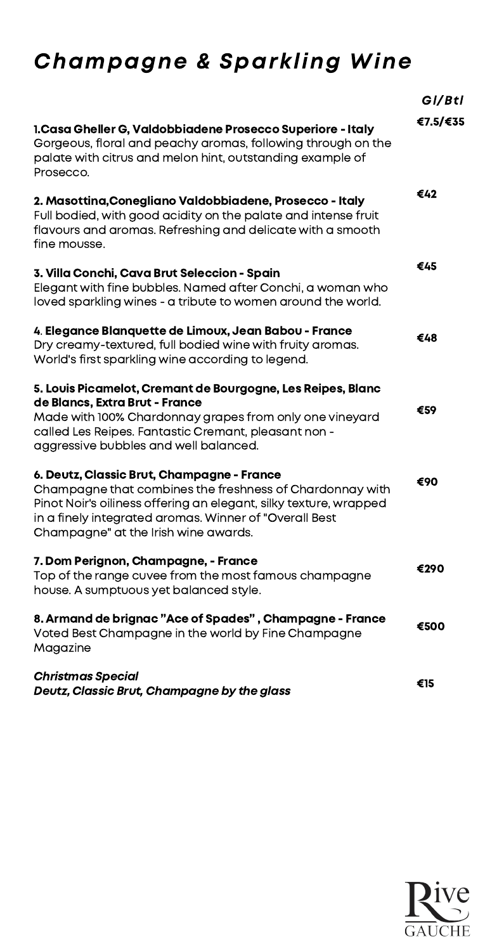# Champagne & Sparkling Wine

|                                                                                                                                                                                                                                                                               | GI/Btl   |
|-------------------------------------------------------------------------------------------------------------------------------------------------------------------------------------------------------------------------------------------------------------------------------|----------|
| 1. Casa Gheller G, Valdobbiadene Prosecco Superiore - Italy<br>Gorgeous, floral and peachy aromas, following through on the<br>palate with citrus and melon hint, outstanding example of<br>Prosecco.                                                                         | €7.5/€35 |
| 2. Masottina, Conegliano Valdobbiadene, Prosecco - Italy<br>Full bodied, with good acidity on the palate and intense fruit<br>flavours and aromas. Refreshing and delicate with a smooth<br>fine mousse.                                                                      | €42      |
| 3. Villa Conchi, Cava Brut Seleccion - Spain<br>Elegant with fine bubbles. Named after Conchi, a woman who<br>loved sparkling wines - a tribute to women around the world.                                                                                                    | €45      |
| 4. Elegance Blanquette de Limoux, Jean Babou - France<br>Dry creamy-textured, full bodied wine with fruity aromas.<br>World's first sparkling wine according to legend.                                                                                                       | €48      |
| 5. Louis Picamelot, Cremant de Bourgogne, Les Reipes, Blanc<br>de Blancs, Extra Brut - France<br>Made with 100% Chardonnay grapes from only one vineyard<br>called Les Reipes. Fantastic Cremant, pleasant non -<br>aggressive bubbles and well balanced.                     | €59      |
| 6. Deutz, Classic Brut, Champagne - France<br>Champagne that combines the freshness of Chardonnay with<br>Pinot Noir's oiliness offering an elegant, silky texture, wrapped<br>in a finely integrated aromas. Winner of "Overall Best<br>Champagne" at the Irish wine awards. | €90      |
| 7. Dom Perignon, Champagne, - France<br>Top of the range cuvee from the most famous champagne<br>house. A sumptuous yet balanced style.                                                                                                                                       | €290     |
| 8. Armand de brignac "Ace of Spades", Champagne - France<br>Voted Best Champagne in the world by Fine Champagne<br>Magazine                                                                                                                                                   | €500     |
| <b>Christmas Special</b><br>Deutz, Classic Brut, Champagne by the glass                                                                                                                                                                                                       | €15      |

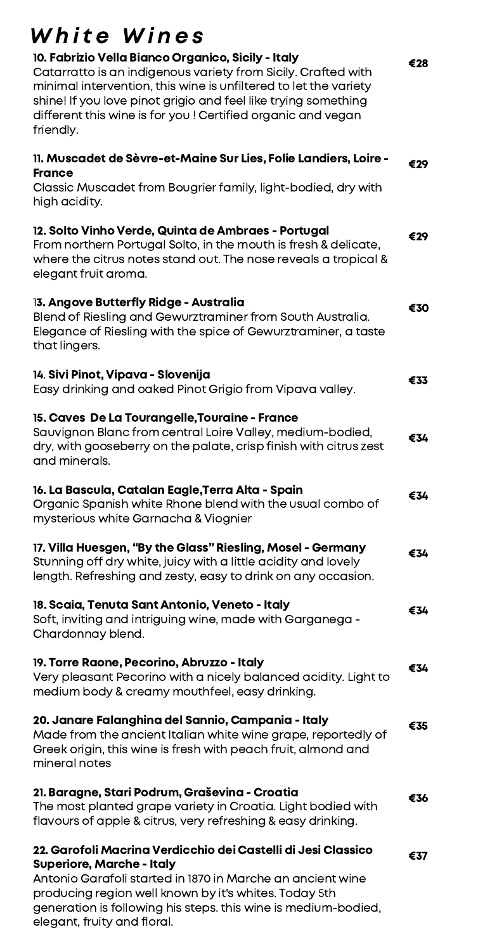#### €28 €29 €29 €30 €33 €34 €34 €34 €34 €34 €35 €36 €37 White Wines 10. Fabrizio Vella Bianco Organico, Sicily - Italy Catarratto is an indigenous variety from Sicily. Crafted with minimal intervention, this wine is unfiltered to let the variety shine! If you love pinot grigio and feel like trying something different this wine is for you ! Certified organic and vegan friendly. 11. Muscadet de Sèvre-et-Maine Sur Lies, Folie Landiers, Loire - France Classic Muscadet from Bougrier family, light-bodied, dry with high acidity. 12. Solto Vinho Verde, Quinta de Ambraes - Portugal From northern Portugal Solto, in the mouth is fresh & delicate, where the citrus notes stand out. The nose reveals a tropical & elegant fruit aroma. 13. Angove Butterfly Ridge - Australia Blend of Riesling and Gewurztraminer from South Australia. Elegance of Riesling with the spice of Gewurztraminer, a taste that lingers. 14. Sivi Pinot, Vipava - Slovenija Easy drinking and oaked Pinot Grigio from Vipava valley. 15. Caves De La Tourangelle,Touraine - France Sauvignon Blanc from central Loire Valley, medium-bodied, dry, with gooseberry on the palate, crisp finish with citrus zest and minerals. 16. La Bascula, Catalan Eagle,Terra Alta - Spain Organic Spanish white Rhone blend with the usual combo of mysterious white Garnacha & Viognier 17. Villa Huesgen, "By the Glass" Riesling, Mosel - Germany Stunning off dry white, juicy with a little acidity and lovely length. Refreshing and zesty, easy to drink on any occasion. 18. Scaia, Tenuta Sant Antonio, Veneto - Italy Soft, inviting and intriguing wine, made with Garganega - Chardonnay blend. 19. Torre Raone, Pecorino, Abruzzo - Italy Very pleasant Pecorino with a nicely balanced acidity. Light to medium body & creamy mouthfeel, easy drinking. 20. Janare Falanghina del Sannio, Campania - Italy Made from the ancient Italian white wine grape, reportedly of Greek origin, this wine is fresh with peach fruit, almond and mineral notes 21. Baragne, Stari Podrum, Graševina - Croatia The most planted grape variety in Croatia. Light bodied with flavours of apple & citrus, very refreshing & easy drinking. 22. Garofoli Macrina Verdicchio dei Castelli di Jesi Classico Superiore, Marche - Italy Antonio Garafoli started in 1870 in Marche an ancient wine producing region well known by it's whites. Today 5th generation is following his steps. this wine is medium-bodied,

elegant, fruity and floral.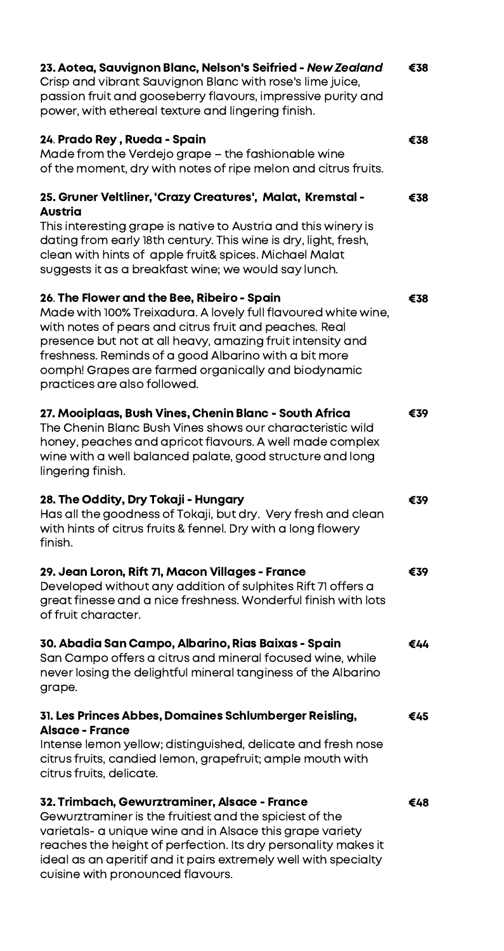| 23. Aotea, Sauvignon Blanc, Nelson's Seifried - New Zealand<br>Crisp and vibrant Sauvignon Blanc with rose's lime juice,<br>passion fruit and gooseberry flavours, impressive purity and<br>power, with ethereal texture and lingering finish.                                                                                                                                        | €38 |
|---------------------------------------------------------------------------------------------------------------------------------------------------------------------------------------------------------------------------------------------------------------------------------------------------------------------------------------------------------------------------------------|-----|
| 24. Prado Rey, Rueda - Spain<br>Made from the Verdejo grape – the fashionable wine<br>of the moment, dry with notes of ripe melon and citrus fruits.                                                                                                                                                                                                                                  | €38 |
| 25. Gruner Veltliner, 'Crazy Creatures', Malat, Kremstal -<br><b>Austria</b><br>This interesting grape is native to Austria and this winery is<br>dating from early 18th century. This wine is dry, light, fresh,<br>clean with hints of apple fruit& spices. Michael Malat<br>suggests it as a breakfast wine; we would say lunch.                                                   | €38 |
| 26. The Flower and the Bee, Ribeiro - Spain<br>Made with 100% Treixadura. A lovely full flavoured white wine,<br>with notes of pears and citrus fruit and peaches. Real<br>presence but not at all heavy, amazing fruit intensity and<br>freshness. Reminds of a good Albarino with a bit more<br>oomph! Grapes are farmed organically and biodynamic<br>practices are also followed. | €38 |
| 27. Mooiplaas, Bush Vines, Chenin Blanc - South Africa<br>The Chenin Blanc Bush Vines shows our characteristic wild<br>honey, peaches and apricot flavours. A well made complex<br>wine with a well balanced palate, good structure and long<br>lingering finish.                                                                                                                     | €39 |
| 28. The Oddity, Dry Tokaji - Hungary<br>Has all the goodness of Tokaji, but dry. Very fresh and clean<br>with hints of citrus fruits & fennel. Dry with a long flowery<br>finish.                                                                                                                                                                                                     | €39 |
| 29. Jean Loron, Rift 71, Macon Villages - France<br>Developed without any addition of sulphites Rift 71 offers a<br>great finesse and a nice freshness. Wonderful finish with lots<br>of fruit character.                                                                                                                                                                             | €39 |
| 30. Abadia San Campo, Albarino, Rias Baixas - Spain<br>San Campo offers a citrus and mineral focused wine, while<br>never losing the delightful mineral tanginess of the Albarino<br>grape.                                                                                                                                                                                           | €44 |
| 31. Les Princes Abbes, Domaines Schlumberger Reisling,<br><b>Alsace - France</b><br>Intense lemon yellow; distinguished, delicate and fresh nose<br>citrus fruits, candied lemon, grapefruit; ample mouth with<br>citrus fruits, delicate.                                                                                                                                            | €45 |
| 32. Trimbach, Gewurztraminer, Alsace - France<br>Gewurztraminer is the fruitiest and the spiciest of the<br>varietals- a unique wine and in Alsace this grape variety<br>reaches the height of perfection. Its dry personality makes it<br>ideal as an aperitif and it pairs extremely well with specialty<br>cuisine with pronounced flavours.                                       | €48 |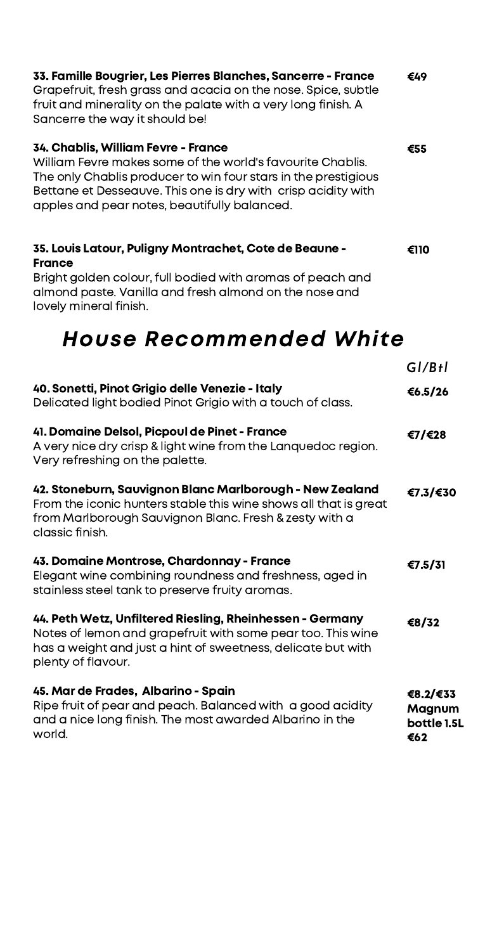| 33. Famille Bougrier, Les Pierres Blanches, Sancerre - France<br>Grapefruit, fresh grass and acacia on the nose. Spice, subtle<br>fruit and minerality on the palate with a very long finish. A<br>Sancerre the way it should be!                                                    | €49                                      |
|--------------------------------------------------------------------------------------------------------------------------------------------------------------------------------------------------------------------------------------------------------------------------------------|------------------------------------------|
| 34. Chablis, William Fevre - France<br>William Fevre makes some of the world's favourite Chablis.<br>The only Chablis producer to win four stars in the prestigious<br>Bettane et Desseauve. This one is dry with crisp acidity with<br>apples and pear notes, beautifully balanced. | €55                                      |
| 35. Louis Latour, Puligny Montrachet, Cote de Beaune -<br><b>France</b>                                                                                                                                                                                                              | €110                                     |
| Bright golden colour, full bodied with aromas of peach and<br>almond paste. Vanilla and fresh almond on the nose and<br>lovely mineral finish.                                                                                                                                       |                                          |
| House Recommended White                                                                                                                                                                                                                                                              |                                          |
|                                                                                                                                                                                                                                                                                      | GI/BtI                                   |
| 40. Sonetti, Pinot Grigio delle Venezie - Italy<br>Delicated light bodied Pinot Grigio with a touch of class.                                                                                                                                                                        | €6.5/26                                  |
| 41. Domaine Delsol, Picpoul de Pinet - France<br>A very nice dry crisp & light wine from the Lanquedoc region.<br>Very refreshing on the palette.                                                                                                                                    | €7/€28                                   |
| 42. Stoneburn, Sauvignon Blanc Marlborough - New Zealand<br>From the iconic hunters stable this wine shows all that is great<br>from Marlborough Sauvignon Blanc. Fresh & zesty with a<br>classic finish.                                                                            | €7.3/€30                                 |
| 43. Domaine Montrose, Chardonnay - France<br>Elegant wine combining roundness and freshness, aged in<br>stainless steel tank to preserve fruity aromas.                                                                                                                              | €7.5/31                                  |
| 44. Peth Wetz, Unfiltered Riesling, Rheinhessen - Germany<br>Notes of lemon and grapefruit with some pear too. This wine<br>has a weight and just a hint of sweetness, delicate but with<br>plenty of flavour.                                                                       | €8/32                                    |
| 45. Mar de Frades, Albarino - Spain<br>Ripe fruit of pear and peach. Balanced with a good acidity<br>and a nice long finish. The most awarded Albarino in the<br>world.                                                                                                              | €8.2/€33<br>Magnum<br>bottle 1.5L<br>€62 |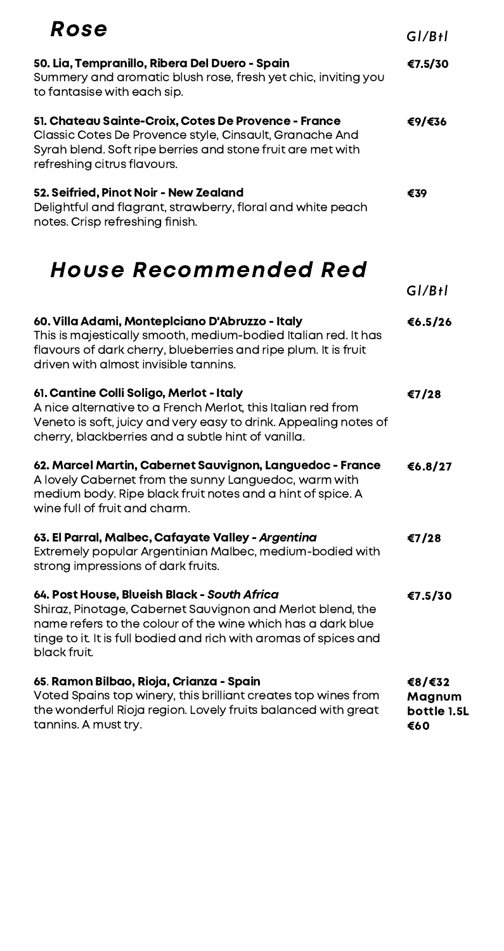| Rose                                                                                                                                                                                                                                                           | GI/BtI                                 |
|----------------------------------------------------------------------------------------------------------------------------------------------------------------------------------------------------------------------------------------------------------------|----------------------------------------|
| 50. Lia, Tempranillo, Ribera Del Duero - Spain<br>Summery and aromatic blush rose, fresh yet chic, inviting you<br>to fantasise with each sip.                                                                                                                 | €7.5/30                                |
| 51. Chateau Sainte-Croix, Cotes De Provence - France<br>Classic Cotes De Provence style, Cinsault, Granache And<br>Syrah blend. Soft ripe berries and stone fruit are met with<br>refreshing citrus flavours.                                                  | €9/€36                                 |
| 52. Seifried, Pinot Noir - New Zealand<br>Delightful and flagrant, strawberry, floral and white peach<br>notes. Crisp refreshing finish.                                                                                                                       | €39                                    |
| House Recommended Red                                                                                                                                                                                                                                          | GI/BtI                                 |
| 60. Villa Adami, Monteplciano D'Abruzzo - Italy<br>This is majestically smooth, medium-bodied Italian red. It has<br>flavours of dark cherry, blueberries and ripe plum. It is fruit<br>driven with almost invisible tannins.                                  | €6.5/26                                |
| 61. Cantine Colli Soligo, Merlot - Italy<br>A nice alternative to a French Merlot, this Italian red from<br>Veneto is soft, juicy and very easy to drink. Appealing notes of<br>cherry, blackberries and a subtle hint of vanilla.                             | €7/28                                  |
| 62. Marcel Martin, Cabernet Sauvignon, Languedoc - France<br>A lovely Cabernet from the sunny Languedoc, warm with<br>medium body. Ripe black fruit notes and a hint of spice. A<br>wine full of fruit and charm.                                              | €6.8/27                                |
| 63. El Parral, Malbec, Cafayate Valley - Argentina<br>Extremely popular Argentinian Malbec, medium-bodied with<br>strong impressions of dark fruits.                                                                                                           | €7/28                                  |
| 64. Post House, Blueish Black - South Africa<br>Shiraz, Pinotage, Cabernet Sauvignon and Merlot blend, the<br>name refers to the colour of the wine which has a dark blue<br>tinge to it. It is full bodied and rich with aromas of spices and<br>black fruit. | €7.5/30                                |
| 65. Ramon Bilbao, Rioja, Crianza - Spain<br>Voted Spains top winery, this brilliant creates top wines from<br>the wonderful Rioja region. Lovely fruits balanced with great<br>tannins. A must try.                                                            | €8/€32<br>Magnum<br>bottle 1.5L<br>€60 |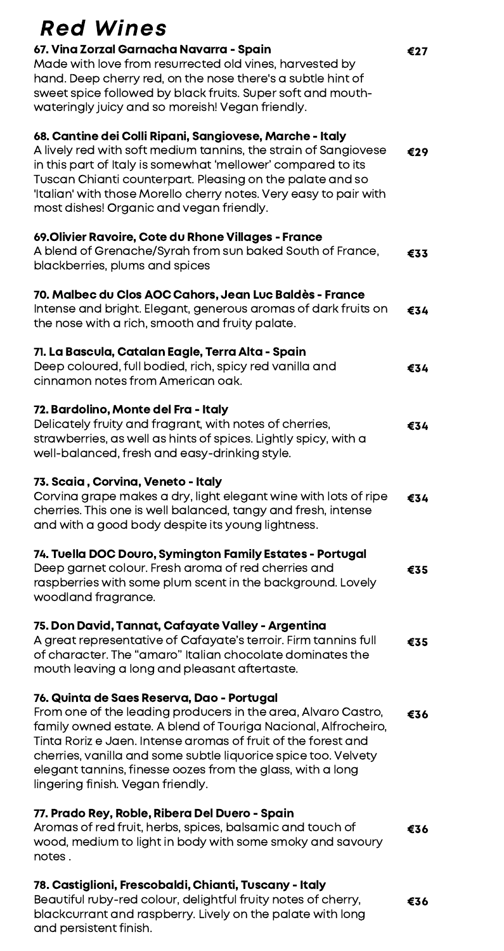## Red Wines

| 67. Vina Zorzal Garnacha Navarra - Spain<br>Made with love from resurrected old vines, harvested by<br>hand. Deep cherry red, on the nose there's a subtle hint of<br>sweet spice followed by black fruits. Super soft and mouth-<br>wateringly juicy and so moreish! Vegan friendly.                                                                                                                               | €27 |
|---------------------------------------------------------------------------------------------------------------------------------------------------------------------------------------------------------------------------------------------------------------------------------------------------------------------------------------------------------------------------------------------------------------------|-----|
| 68. Cantine dei Colli Ripani, Sangiovese, Marche - Italy<br>A lively red with soft medium tannins, the strain of Sangiovese<br>in this part of Italy is somewhat 'mellower' compared to its<br>Tuscan Chianti counterpart. Pleasing on the palate and so<br>'Italian' with those Morello cherry notes. Very easy to pair with<br>most dishes! Organic and vegan friendly.                                           | €29 |
| 69. Olivier Ravoire, Cote du Rhone Villages - France<br>A blend of Grenache/Syrah from sun baked South of France,<br>blackberries, plums and spices                                                                                                                                                                                                                                                                 | €33 |
| 70. Malbec du Clos AOC Cahors, Jean Luc Baldès - France<br>Intense and bright. Elegant, generous aromas of dark fruits on<br>the nose with a rich, smooth and fruity palate.                                                                                                                                                                                                                                        | €34 |
| 71. La Bascula, Catalan Eagle, Terra Alta - Spain<br>Deep coloured, full bodied, rich, spicy red vanilla and<br>cinnamon notes from American oak.                                                                                                                                                                                                                                                                   | €34 |
| 72. Bardolino, Monte del Fra - Italy<br>Delicately fruity and fragrant, with notes of cherries,<br>strawberries, as well as hints of spices. Lightly spicy, with a<br>well-balanced, fresh and easy-drinking style.                                                                                                                                                                                                 | €34 |
| 73. Scaia, Corvina, Veneto - Italy<br>Corvina grape makes a dry, light elegant wine with lots of ripe<br>cherries. This one is well balanced, tangy and fresh, intense<br>and with a good body despite its young lightness.                                                                                                                                                                                         | €34 |
| 74. Tuella DOC Douro, Symington Family Estates - Portugal<br>Deep garnet colour. Fresh aroma of red cherries and<br>raspberries with some plum scent in the background. Lovely<br>woodland fragrance.                                                                                                                                                                                                               | €35 |
| 75. Don David, Tannat, Cafayate Valley - Argentina<br>A great representative of Cafayate's terroir. Firm tannins full<br>of character. The "amaro" Italian chocolate dominates the<br>mouth leaving a long and pleasant aftertaste.                                                                                                                                                                                 | €35 |
| 76. Quinta de Saes Reserva, Dao - Portugal<br>From one of the leading producers in the area, Alvaro Castro,<br>family owned estate. A blend of Touriga Nacional, Alfrocheiro,<br>Tinta Roriz e Jaen. Intense aromas of fruit of the forest and<br>cherries, vanilla and some subtle liquorice spice too. Velvety<br>elegant tannins, finesse oozes from the glass, with a long<br>lingering finish. Vegan friendly. | €36 |
| 77. Prado Rey, Roble, Ribera Del Duero - Spain<br>Aromas of red fruit, herbs, spices, balsamic and touch of<br>wood, medium to light in body with some smoky and savoury<br>notes.                                                                                                                                                                                                                                  | €36 |
| 78. Castiglioni, Frescobaldi, Chianti, Tuscany - Italy                                                                                                                                                                                                                                                                                                                                                              |     |

Beautiful ruby-red colour, delightful fruity notes of cherry, blackcurrant and raspberry. Lively on the palate with long and persistent finish. €36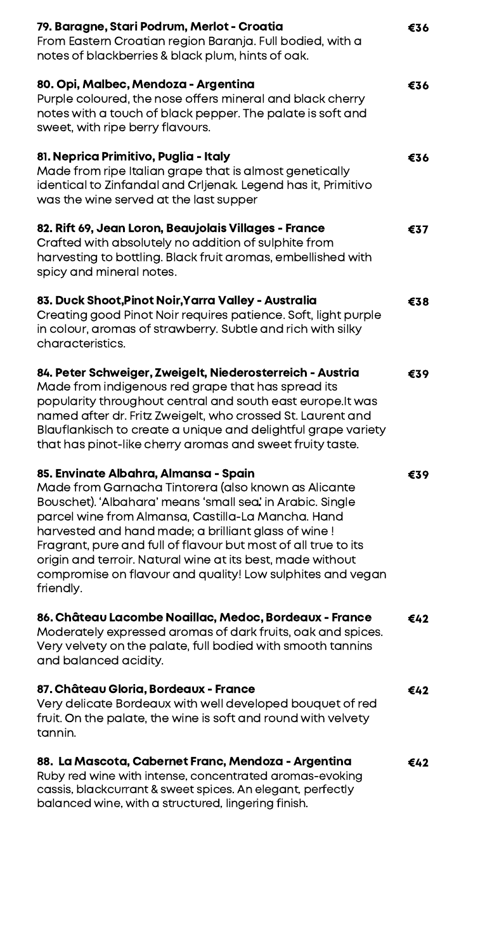| 79. Baragne, Stari Podrum, Merlot - Croatia<br>From Eastern Croatian region Baranja. Full bodied, with a<br>notes of blackberries & black plum, hints of oak.                                                                                                                                                                                                                                                                                                                      | €36 |
|------------------------------------------------------------------------------------------------------------------------------------------------------------------------------------------------------------------------------------------------------------------------------------------------------------------------------------------------------------------------------------------------------------------------------------------------------------------------------------|-----|
| 80. Opi, Malbec, Mendoza - Argentina<br>Purple coloured, the nose offers mineral and black cherry<br>notes with a touch of black pepper. The palate is soft and<br>sweet, with ripe berry flavours.                                                                                                                                                                                                                                                                                | €36 |
| 81. Neprica Primitivo, Puglia - Italy<br>Made from ripe Italian grape that is almost genetically<br>identical to Zinfandal and Crljenak. Legend has it, Primitivo<br>was the wine served at the last supper                                                                                                                                                                                                                                                                        | €36 |
| 82. Rift 69, Jean Loron, Beaujolais Villages - France<br>Crafted with absolutely no addition of sulphite from<br>harvesting to bottling. Black fruit aromas, embellished with<br>spicy and mineral notes.                                                                                                                                                                                                                                                                          | €37 |
| 83. Duck Shoot, Pinot Noir, Yarra Valley - Australia<br>Creating good Pinot Noir requires patience. Soft, light purple<br>in colour, aromas of strawberry. Subtle and rich with silky<br>characteristics.                                                                                                                                                                                                                                                                          | €38 |
| 84. Peter Schweiger, Zweigelt, Niederosterreich - Austria<br>Made from indigenous red grape that has spread its<br>popularity throughout central and south east europe.It was<br>named after dr. Fritz Zweigelt, who crossed St. Laurent and<br>Blauflankisch to create a unique and delightful grape variety<br>that has pinot-like cherry aromas and sweet fruity taste.                                                                                                         | €39 |
| 85. Envinate Albahra, Almansa - Spain<br>Made from Garnacha Tintorera (also known as Alicante<br>Bouschet). 'Albahara' means 'small sea' in Arabic. Single<br>parcel wine from Almansa, Castilla-La Mancha. Hand<br>harvested and hand made; a brilliant glass of wine!<br>Fragrant, pure and full of flavour but most of all true to its<br>origin and terroir. Natural wine at its best, made without<br>compromise on flavour and quality! Low sulphites and vegan<br>friendly. | €39 |
| 86. Château Lacombe Noaillac, Medoc, Bordeaux - France<br>Moderately expressed aromas of dark fruits, oak and spices.<br>Very velvety on the palate, full bodied with smooth tannins<br>and balanced acidity.                                                                                                                                                                                                                                                                      | €42 |
| 87. Château Gloria, Bordeaux - France<br>Very delicate Bordeaux with well developed bouquet of red<br>fruit. On the palate, the wine is soft and round with velvety<br>tannin.                                                                                                                                                                                                                                                                                                     | €42 |
| 88. La Mascota, Cabernet Franc, Mendoza - Argentina<br>Ruby red wine with intense, concentrated aromas-evoking<br>cassis, blackcurrant & sweet spices. An elegant, perfectly<br>balanced wine, with a structured, lingering finish.                                                                                                                                                                                                                                                | €42 |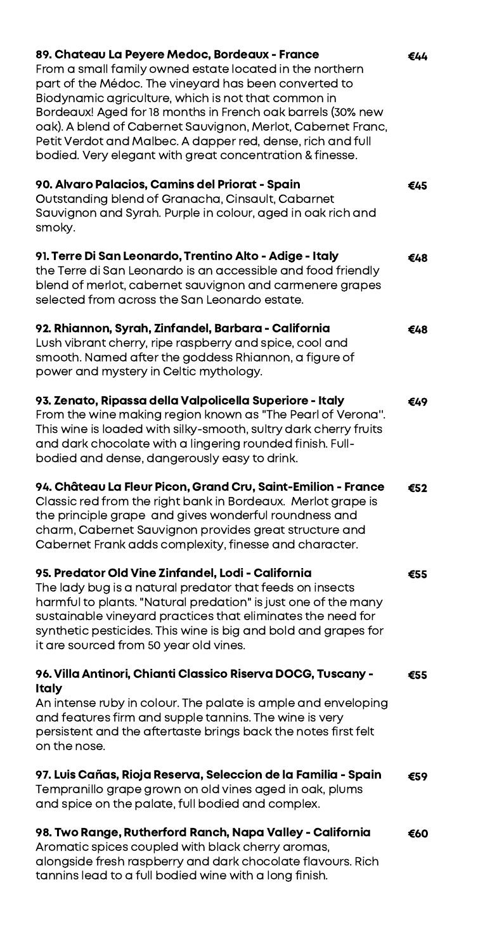| 89. Chateau La Peyere Medoc, Bordeaux - France<br>From a small family owned estate located in the northern<br>part of the Médoc. The vineyard has been converted to<br>Biodynamic agriculture, which is not that common in<br>Bordeaux! Aged for 18 months in French oak barrels (30% new<br>oak). A blend of Cabernet Sauvignon, Merlot, Cabernet Franc,<br>Petit Verdot and Malbec. A dapper red, dense, rich and full<br>bodied. Very elegant with great concentration & finesse. | €44 |
|--------------------------------------------------------------------------------------------------------------------------------------------------------------------------------------------------------------------------------------------------------------------------------------------------------------------------------------------------------------------------------------------------------------------------------------------------------------------------------------|-----|
| 90. Alvaro Palacios, Camins del Priorat - Spain<br>Outstanding blend of Granacha, Cinsault, Cabarnet<br>Sauvignon and Syrah. Purple in colour, aged in oak rich and<br>smoky.                                                                                                                                                                                                                                                                                                        | €45 |
| 91. Terre Di San Leonardo, Trentino Alto - Adige - Italy<br>the Terre di San Leonardo is an accessible and food friendly<br>blend of merlot, cabernet sauvignon and carmenere grapes<br>selected from across the San Leonardo estate.                                                                                                                                                                                                                                                | €48 |
| 92. Rhiannon, Syrah, Zinfandel, Barbara - California<br>Lush vibrant cherry, ripe raspberry and spice, cool and<br>smooth. Named after the goddess Rhiannon, a figure of<br>power and mystery in Celtic mythology.                                                                                                                                                                                                                                                                   | €48 |
| 93. Zenato, Ripassa della Valpolicella Superiore - Italy<br>From the wine making region known as "The Pearl of Verona".<br>This wine is loaded with silky-smooth, sultry dark cherry fruits<br>and dark chocolate with a lingering rounded finish. Full-<br>bodied and dense, dangerously easy to drink.                                                                                                                                                                             | €49 |
| 94. Château La Fleur Picon, Grand Cru, Saint-Emilion - France<br>Classic red from the right bank in Bordeaux. Merlot grape is<br>the principle grape and gives wonderful roundness and<br>charm, Cabernet Sauvignon provides great structure and<br>Cabernet Frank adds complexity, finesse and character.                                                                                                                                                                           | €52 |
| 95. Predator Old Vine Zinfandel, Lodi - California<br>The lady bug is a natural predator that feeds on insects<br>harmful to plants. "Natural predation" is just one of the many<br>sustainable vineyard practices that eliminates the need for<br>synthetic pesticides. This wine is big and bold and grapes for<br>it are sourced from 50 year old vines.                                                                                                                          | €55 |
| 96. Villa Antinori, Chianti Classico Riserva DOCG, Tuscany -<br><b>Italy</b><br>An intense ruby in colour. The palate is ample and enveloping<br>and features firm and supple tannins. The wine is very<br>persistent and the aftertaste brings back the notes first felt<br>on the nose.                                                                                                                                                                                            | €55 |
| 97. Luis Cañas, Rioja Reserva, Seleccion de la Familia - Spain<br>Tempranillo grape grown on old vines aged in oak, plums<br>and spice on the palate, full bodied and complex.                                                                                                                                                                                                                                                                                                       | €59 |
| 98. Two Range, Rutherford Ranch, Napa Valley - California<br>Aromatic spices coupled with black cherry aromas,<br>alongside fresh raspberry and dark chocolate flavours. Rich                                                                                                                                                                                                                                                                                                        | €60 |

tannins lead to a full bodied wine with a long finish.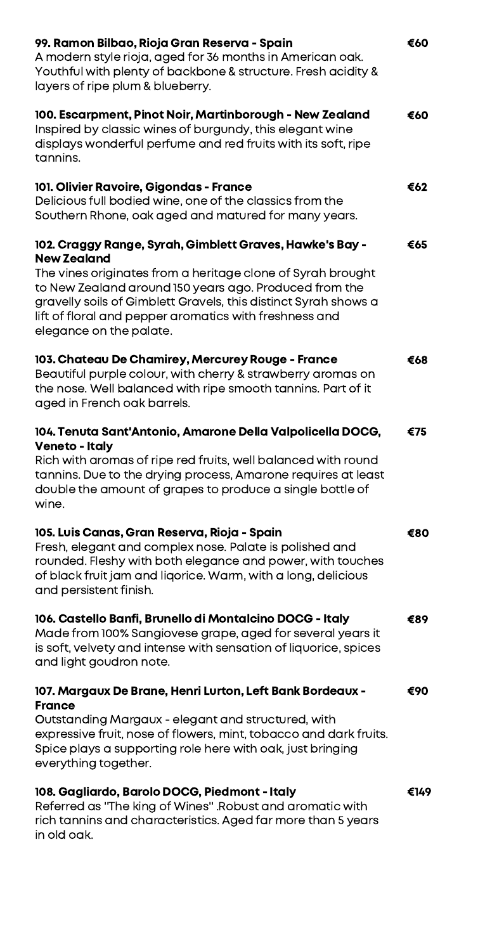| 99. Ramon Bilbao, Rioja Gran Reserva - Spain<br>A modern style rioja, aged for 36 months in American oak.<br>Youthful with plenty of backbone & structure. Fresh acidity &<br>layers of ripe plum & blueberry.                                                                                                                                                  | €60  |
|-----------------------------------------------------------------------------------------------------------------------------------------------------------------------------------------------------------------------------------------------------------------------------------------------------------------------------------------------------------------|------|
| 100. Escarpment, Pinot Noir, Martinborough - New Zealand<br>Inspired by classic wines of burgundy, this elegant wine<br>displays wonderful perfume and red fruits with its soft, ripe<br>tannins.                                                                                                                                                               | €60  |
| 101. Olivier Ravoire, Gigondas - France<br>Delicious full bodied wine, one of the classics from the<br>Southern Rhone, oak aged and matured for many years.                                                                                                                                                                                                     | €62  |
| 102. Craggy Range, Syrah, Gimblett Graves, Hawke's Bay -<br><b>New Zealand</b><br>The vines originates from a heritage clone of Syrah brought<br>to New Zealand around 150 years ago. Produced from the<br>gravelly soils of Gimblett Gravels, this distinct Syrah shows a<br>lift of floral and pepper aromatics with freshness and<br>elegance on the palate. | €65  |
| 103. Chateau De Chamirey, Mercurey Rouge - France<br>Beautiful purple colour, with cherry & strawberry aromas on<br>the nose. Well balanced with ripe smooth tannins. Part of it<br>aged in French oak barrels.                                                                                                                                                 | €68  |
| 104. Tenuta Sant'Antonio, Amarone Della Valpolicella DOCG,<br><b>Veneto - Italy</b><br>Rich with aromas of ripe red fruits, well balanced with round<br>tannins. Due to the drying process, Amarone requires at least<br>double the amount of grapes to produce a single bottle of<br>wine.                                                                     | €75  |
| 105. Luis Canas, Gran Reserva, Rioja - Spain<br>Fresh, elegant and complex nose. Palate is polished and<br>rounded. Fleshy with both elegance and power, with touches<br>of black fruit jam and ligorice. Warm, with a long, delicious<br>and persistent finish.                                                                                                | €80  |
| 106. Castello Banfi, Brunello di Montalcino DOCG - Italy<br>Made from 100% Sangiovese grape, aged for several years it<br>is soft, velvety and intense with sensation of liquorice, spices<br>and light goudron note.                                                                                                                                           | €89  |
| 107. Margaux De Brane, Henri Lurton, Left Bank Bordeaux -<br><b>France</b><br>Outstanding Margaux - elegant and structured, with<br>expressive fruit, nose of flowers, mint, tobacco and dark fruits.<br>Spice plays a supporting role here with oak, just bringing<br>everything together.                                                                     | €90  |
| 108. Gagliardo, Barolo DOCG, Piedmont - Italy<br>Referred as "The king of Wines" . Robust and aromatic with<br>rich tannins and characteristics. Aged far more than 5 years<br>in old oak.                                                                                                                                                                      | €149 |